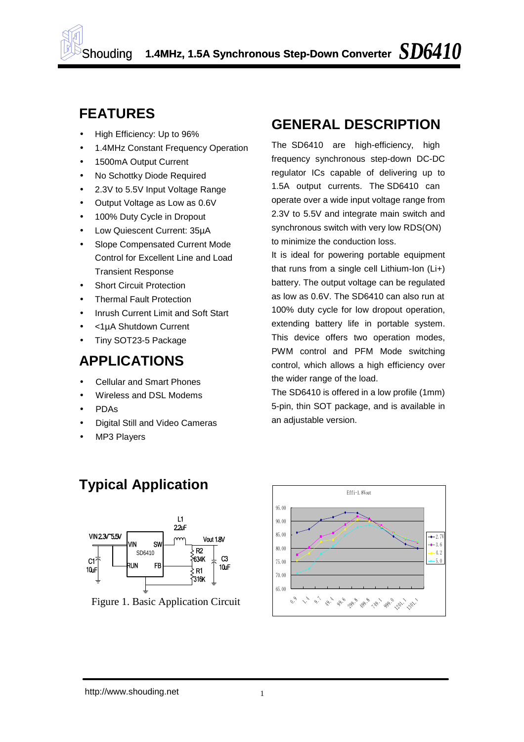

### **FEATURES**

- High Efficiency: Up to 96%
- 1.4MHz Constant Frequency Operation
- 1500mA Output Current
- No Schottky Diode Required
- 2.3V to 5.5V Input Voltage Range
- Output Voltage as Low as 0.6V
- 100% Duty Cycle in Dropout
- Low Quiescent Current: 35µA
- Slope Compensated Current Mode Control for Excellent Line and Load Transient Response
- Short Circuit Protection
- Thermal Fault Protection
- Inrush Current Limit and Soft Start
- <1µA Shutdown Current
- Tiny SOT23-5 Package

### **APPLICATIONS**

- Cellular and Smart Phones
- Wireless and DSL Modems
- PDAs
- Digital Still and Video Cameras

**Typical Application** 

• MP3 Players

### **GENERAL DESCRIPTION**

1.5A output currents. The SD6410 can The SD6410 are high-efficiency, high frequency synchronous step-down DC-DC regulator ICs capable of delivering up to operate over a wide input voltage range from 2.3V to 5.5V and integrate main switch and synchronous switch with very low RDS(ON) to minimize the conduction loss.

as low as 0.6V. The SD6410 can also run at It is ideal for powering portable equipment that runs from a single cell Lithium-Ion (Li+) battery. The output voltage can be regulated 100% duty cycle for low dropout operation, extending battery life in portable system. This device offers two operation modes, PWM control and PFM Mode switching control, which allows a high efficiency over the wider range of the load.

The SD6410 is offered in a low profile (1mm) 5-pin, thin SOT package, and is available in an adjustable version.



Figure 1. Basic Application Circuit

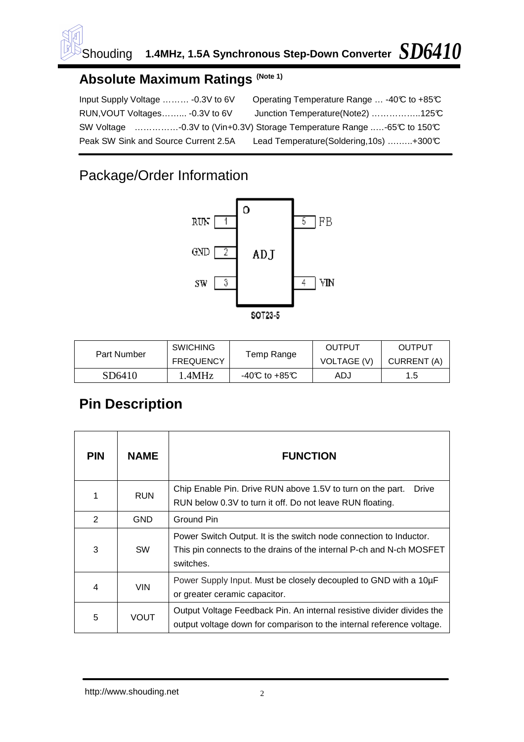

#### **Absolute Maximum Ratings (Note 1)**

| Input Supply Voltage  - 0.3V to 6V   | Operating Temperature Range  -40℃ to +85℃                             |
|--------------------------------------|-----------------------------------------------------------------------|
| RUN, VOUT Voltages - 0.3V to 6V      | Junction Temperature(Note2) 125°C                                     |
|                                      | SW Voltage -0.3V to (Vin+0.3V) Storage Temperature Range -65℃ to 150℃ |
| Peak SW Sink and Source Current 2.5A | Lead Temperature (Soldering, 10s) +300°C                              |

# Package/Order Information



| <b>Part Number</b> | <b>SWICHING</b>  |                | OUTPUT             | OUTPUT      |  |
|--------------------|------------------|----------------|--------------------|-------------|--|
|                    | <b>FREQUENCY</b> | Temp Range     | <b>VOLTAGE (V)</b> | CURRENT (A) |  |
| SD6410             | .4MHz            | -40°C to +85°C | ADJ                | 1.5         |  |

# **Pin Description**

| <b>PIN</b>     | NAME        | <b>FUNCTION</b>                                                                                                                                         |
|----------------|-------------|---------------------------------------------------------------------------------------------------------------------------------------------------------|
| 1              | <b>RUN</b>  | Chip Enable Pin. Drive RUN above 1.5V to turn on the part.<br>Drive<br>RUN below 0.3V to turn it off. Do not leave RUN floating.                        |
| $\overline{2}$ | <b>GND</b>  | Ground Pin                                                                                                                                              |
| 3              | <b>SW</b>   | Power Switch Output. It is the switch node connection to Inductor.<br>This pin connects to the drains of the internal P-ch and N-ch MOSFET<br>switches. |
| 4              | <b>VIN</b>  | Power Supply Input. Must be closely decoupled to GND with a 10µF<br>or greater ceramic capacitor.                                                       |
| 5              | <b>VOUT</b> | Output Voltage Feedback Pin. An internal resistive divider divides the<br>output voltage down for comparison to the internal reference voltage.         |

http://www.shouding.net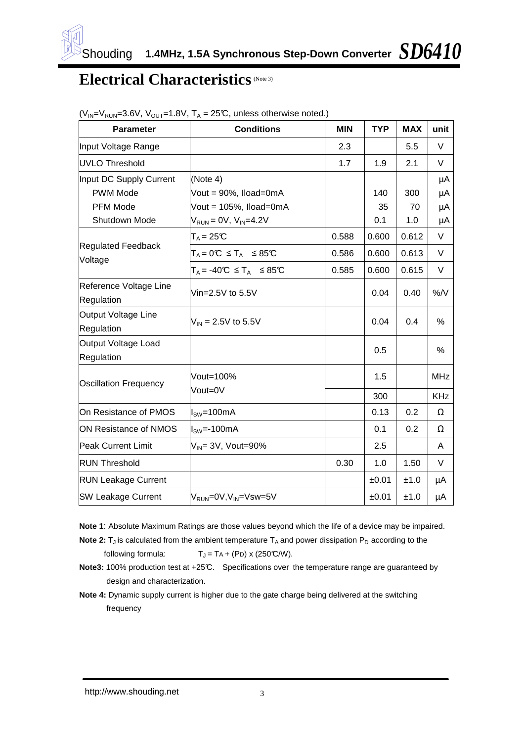

### **Electrical Characteristics** (Note 3)

| <b>Parameter</b>                            | <b>Conditions</b>                                        | <b>MIN</b> | <b>TYP</b> | <b>MAX</b> | unit       |
|---------------------------------------------|----------------------------------------------------------|------------|------------|------------|------------|
| Input Voltage Range                         |                                                          | 2.3        |            | 5.5        | V          |
| <b>UVLO Threshold</b>                       |                                                          | 1.7        | 1.9        | 2.1        | V          |
| Input DC Supply Current                     | (Note 4)                                                 |            |            |            | μA         |
| <b>PWM Mode</b>                             | Vout = 90%, Iload=0mA                                    |            | 140        | 300        | μA         |
| <b>PFM Mode</b>                             | Vout = 105%, Iload=0mA                                   |            | 35         | 70         | μA         |
| Shutdown Mode                               | $V_{RUN} = 0V$ , $V_{IN} = 4.2V$                         |            | 0.1        | 1.0        | μA         |
|                                             | $T_A = 25C$                                              | 0.588      | 0.600      | 0.612      | V          |
| <b>Regulated Feedback</b><br>Voltage        | $T_A = 0^\circ \text{C} \leq T_A \leq 85^\circ \text{C}$ | 0.586      | 0.600      | 0.613      | V          |
|                                             | $T_A = -40 \text{ C } \leq T_A \leq 85 \text{ C}$        | 0.585      | 0.600      | 0.615      | V          |
| Reference Voltage Line<br><b>Regulation</b> | Vin=2.5V to $5.5V$                                       |            | 0.04       | 0.40       | $%$ /V     |
| Output Voltage Line<br><b>Regulation</b>    | $V_{IN}$ = 2.5V to 5.5V                                  |            | 0.04       | 0.4        | %          |
| Output Voltage Load<br>Regulation           |                                                          |            | 0.5        |            | %          |
| <b>Oscillation Frequency</b>                | Vout=100%                                                |            | 1.5        |            | <b>MHz</b> |
|                                             | Vout=0V                                                  |            | 300        |            | <b>KHz</b> |
| On Resistance of PMOS                       | l <sub>sw</sub> =100mA                                   |            | 0.13       | 0.2        | Ω          |
| ON Resistance of NMOS                       | $ISW=-100mA$                                             |            | 0.1        | 0.2        | Ω          |
| <b>Peak Current Limit</b>                   | $V_{IN}$ = 3V, Vout=90%                                  |            | 2.5        |            | Α          |
| <b>RUN Threshold</b>                        |                                                          | 0.30       | 1.0        | 1.50       | V          |
| <b>RUN Leakage Current</b>                  |                                                          |            | ±0.01      | ±1.0       | μA         |
| <b>SW Leakage Current</b>                   | V <sub>RUN</sub> =0V,V <sub>IN</sub> =Vsw=5V             |            | ±0.01      | ±1.0       | μA         |

| $(V_{IN} = V_{RUN} = 3.6V, V_{OUT} = 1.8V, T_A = 25°C$ , unless otherwise noted.) |  |  |  |
|-----------------------------------------------------------------------------------|--|--|--|
|                                                                                   |  |  |  |

- **Note 1**: Absolute Maximum Ratings are those values beyond which the life of a device may be impaired.
- **Note 2:**  $T_J$  is calculated from the ambient temperature  $T_A$  and power dissipation  $P_D$  according to the following formula:  $T_J = TA + (P_D) \times (250^{\circ} \text{C/W}).$
- Note3: 100% production test at +25°C. Specifications over the temperature range are guaranteed by design and characterization.
- **Note 4:** Dynamic supply current is higher due to the gate charge being delivered at the switching frequency

http://www.shouding.net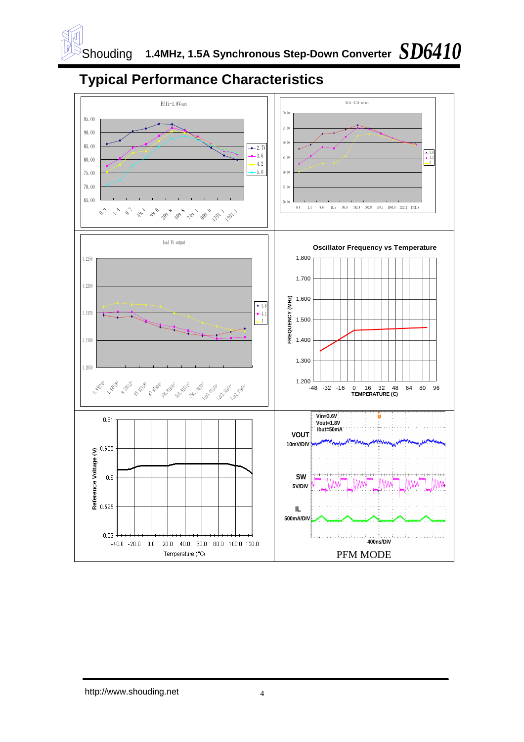

# **Typical Performance Characteristics**

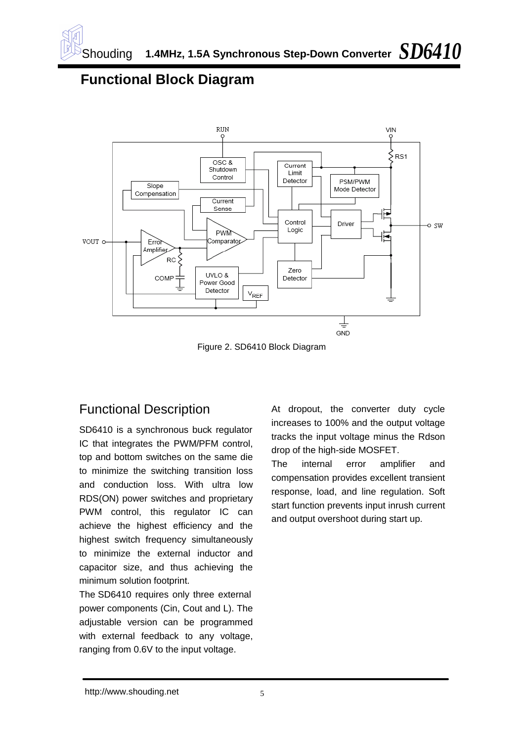### **Functional Block Diagram**



Figure 2. SD6410 Block Diagram

#### Functional Description

SD6410 is a synchronous buck regulator IC that integrates the PWM/PFM control, top and bottom switches on the same die to minimize the switching transition loss and conduction loss. With ultra low RDS(ON) power switches and proprietary PWM control, this regulator IC can achieve the highest efficiency and the highest switch frequency simultaneously to minimize the external inductor and capacitor size, and thus achieving the minimum solution footprint.

The SD6410 requires only three external power components (Cin, Cout and L). The adjustable version can be programmed with external feedback to any voltage. ranging from 0.6V to the input voltage.

At dropout, the converter duty cycle increases to 100% and the output voltage tracks the input voltage minus the Rdson drop of the high-side MOSFET.

The internal error amplifier and compensation provides excellent transient response, load, and line regulation. Soft start function prevents input inrush current and output overshoot during start up.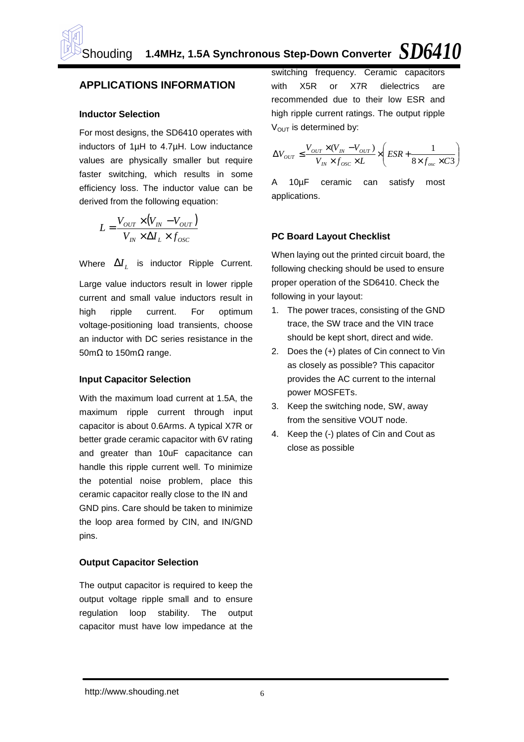#### **APPLICATIONS INFORMATION**

#### **Inductor Selection**

For most designs, the SD6410 operates with inductors of 1µH to 4.7µH. Low inductance values are physically smaller but require faster switching, which results in some efficiency loss. The inductor value can be derived from the following equation:

$$
L = \frac{V_{OUT} \times (V_{IN} - V_{OUT})}{V_{IN} \times \Delta I_L \times f_{osc}}
$$

Where  $\Delta I_L$  is inductor Ripple Current.

Large value inductors result in lower ripple current and small value inductors result in high ripple current. For optimum voltage-positioning load transients, choose an inductor with DC series resistance in the 50mΩ to 150mΩ range.

#### **Input Capacitor Selection**

With the maximum load current at 1.5A, the maximum ripple current through input capacitor is about 0.6Arms. A typical X7R or better grade ceramic capacitor with 6V rating and greater than 10uF capacitance can handle this ripple current well. To minimize the potential noise problem, place this ceramic capacitor really close to the IN and GND pins. Care should be taken to minimize the loop area formed by CIN, and IN/GND pins.

#### **Output Capacitor Selection**

The output capacitor is required to keep the output voltage ripple small and to ensure regulation loop stability. The output capacitor must have low impedance at the

switching frequency. Ceramic capacitors with X5R or X7R dielectrics are recommended due to their low ESR and high ripple current ratings. The output ripple  $V_{\text{OUT}}$  is determined by:

$$
\Delta V_{OUT} \le \frac{V_{OUT} \times (V_{IN} - V_{OUT})}{V_{IN} \times f_{osc} \times L} \times \left(ESR + \frac{1}{8 \times f_{osc} \times C3}\right)
$$

A 10µF ceramic can satisfy most applications.

#### **PC Board Layout Checklist**

proper operation of the SD6410. Check the When laying out the printed circuit board, the following checking should be used to ensure following in your layout:

- 1. The power traces, consisting of the GND trace, the SW trace and the VIN trace should be kept short, direct and wide.
- 2. Does the (+) plates of Cin connect to Vin as closely as possible? This capacitor provides the AC current to the internal power MOSFETs.
- 3. Keep the switching node, SW, away from the sensitive VOUT node.
- 4. Keep the (-) plates of Cin and Cout as close as possible